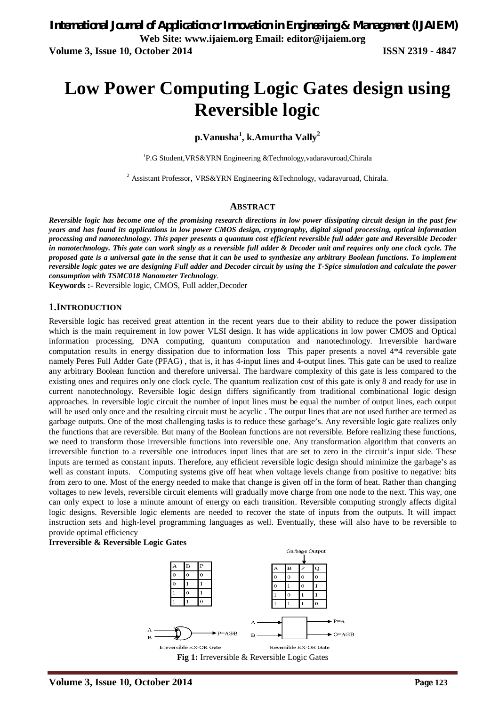# **Low Power Computing Logic Gates design using Reversible logic**

# **p.Vanusha<sup>1</sup> , k.Amurtha Vally<sup>2</sup>**

<sup>1</sup>P.G Student, VRS&YRN Engineering &Technology, vadaravuroad, Chirala

<sup>2</sup> Assistant Professor, VRS&YRN Engineering &Technology, vadaravuroad, Chirala.

#### **ABSTRACT**

*Reversible logic has become one of the promising research directions in low power dissipating circuit design in the past few years and has found its applications in low power CMOS design, cryptography, digital signal processing, optical information processing and nanotechnology. This paper presents a quantum cost efficient reversible full adder gate and Reversible Decoder in nanotechnology. This gate can work singly as a reversible full adder & Decoder unit and requires only one clock cycle. The proposed gate is a universal gate in the sense that it can be used to synthesize any arbitrary Boolean functions. To implement reversible logic gates we are designing Full adder and Decoder circuit by using the T-Spice simulation and calculate the power consumption with TSMC018 Nanometer Technology.*

**Keywords :-** Reversible logic, CMOS, Full adder,Decoder

#### **1.INTRODUCTION**

Reversible logic has received great attention in the recent years due to their ability to reduce the power dissipation which is the main requirement in low power VLSI design. It has wide applications in low power CMOS and Optical information processing, DNA computing, quantum computation and nanotechnology. Irreversible hardware computation results in energy dissipation due to information loss This paper presents a novel 4\*4 reversible gate namely Peres Full Adder Gate (PFAG) , that is, it has 4-input lines and 4-output lines. This gate can be used to realize any arbitrary Boolean function and therefore universal. The hardware complexity of this gate is less compared to the existing ones and requires only one clock cycle. The quantum realization cost of this gate is only 8 and ready for use in current nanotechnology. Reversible logic design differs significantly from traditional combinational logic design approaches. In reversible logic circuit the number of input lines must be equal the number of output lines, each output will be used only once and the resulting circuit must be acyclic. The output lines that are not used further are termed as garbage outputs. One of the most challenging tasks is to reduce these garbage's. Any reversible logic gate realizes only the functions that are reversible. But many of the Boolean functions are not reversible. Before realizing these functions, we need to transform those irreversible functions into reversible one. Any transformation algorithm that converts an irreversible function to a reversible one introduces input lines that are set to zero in the circuit's input side. These inputs are termed as constant inputs. Therefore, any efficient reversible logic design should minimize the garbage's as well as constant inputs. Computing systems give off heat when voltage levels change from positive to negative: bits from zero to one. Most of the energy needed to make that change is given off in the form of heat. Rather than changing voltages to new levels, reversible circuit elements will gradually move charge from one node to the next. This way, one can only expect to lose a minute amount of energy on each transition. Reversible computing strongly affects digital logic designs. Reversible logic elements are needed to recover the state of inputs from the outputs. It will impact instruction sets and high-level programming languages as well. Eventually, these will also have to be reversible to provide optimal efficiency

#### **Irreversible & Reversible Logic Gates**

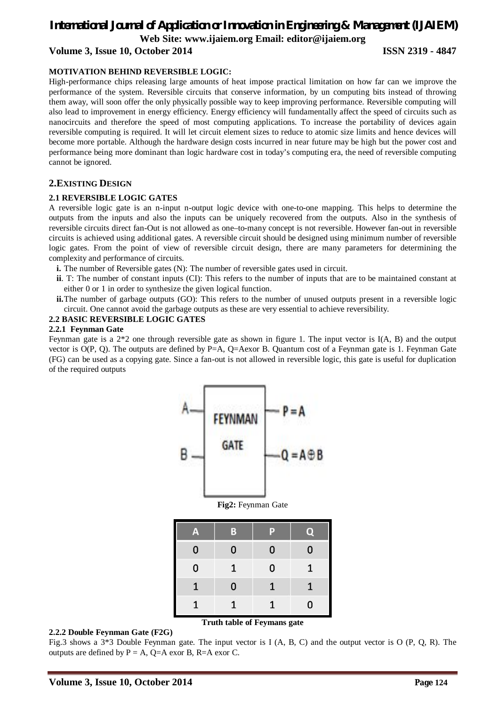# *International Journal of Application or Innovation in Engineering & Management (IJAIEM)* **Web Site: www.ijaiem.org Email: editor@ijaiem.org Volume 3, Issue 10, October 2014 ISSN 2319 - 4847**

#### **MOTIVATION BEHIND REVERSIBLE LOGIC:**

High-performance chips releasing large amounts of heat impose practical limitation on how far can we improve the performance of the system. Reversible circuits that conserve information, by un computing bits instead of throwing them away, will soon offer the only physically possible way to keep improving performance. Reversible computing will also lead to improvement in energy efficiency. Energy efficiency will fundamentally affect the speed of circuits such as nanocircuits and therefore the speed of most computing applications. To increase the portability of devices again reversible computing is required. It will let circuit element sizes to reduce to atomic size limits and hence devices will become more portable. Although the hardware design costs incurred in near future may be high but the power cost and performance being more dominant than logic hardware cost in today's computing era, the need of reversible computing cannot be ignored.

#### **2.EXISTING DESIGN**

#### **2.1 REVERSIBLE LOGIC GATES**

A reversible logic gate is an n-input n-output logic device with one-to-one mapping. This helps to determine the outputs from the inputs and also the inputs can be uniquely recovered from the outputs. Also in the synthesis of reversible circuits direct fan-Out is not allowed as one–to-many concept is not reversible. However fan-out in reversible circuits is achieved using additional gates. A reversible circuit should be designed using minimum number of reversible logic gates. From the point of view of reversible circuit design, there are many parameters for determining the complexity and performance of circuits.

- **i.** The number of Reversible gates (N): The number of reversible gates used in circuit.
- **ii**. T: The number of constant inputs (CI): This refers to the number of inputs that are to be maintained constant at either 0 or 1 in order to synthesize the given logical function.
- **ii.** The number of garbage outputs (GO): This refers to the number of unused outputs present in a reversible logic circuit. One cannot avoid the garbage outputs as these are very essential to achieve reversibility.

#### **2.2 BASIC REVERSIBLE LOGIC GATES**

#### **2.2.1 Feynman Gate**

Feynman gate is a 2\*2 one through reversible gate as shown in figure 1. The input vector is I(A, B) and the output vector is O(P, Q). The outputs are defined by P=A, Q=Aexor B. Quantum cost of a Feynman gate is 1. Feynman Gate (FG) can be used as a copying gate. Since a fan-out is not allowed in reversible logic, this gate is useful for duplication of the required outputs





| Δ        | в | v |   |
|----------|---|---|---|
| $\bf{0}$ | 0 | 0 | 0 |
| 0        | 1 | 0 | 1 |
| 1        | 0 | 1 |   |
|          |   |   | 0 |

#### **Truth table of Feymans gate**

#### **2.2.2 Double Feynman Gate (F2G)**

Fig.3 shows a 3\*3 Double Feynman gate. The input vector is I (A, B, C) and the output vector is O (P, Q, R). The outputs are defined by  $P = A$ ,  $Q = A$  exor B, R=A exor C.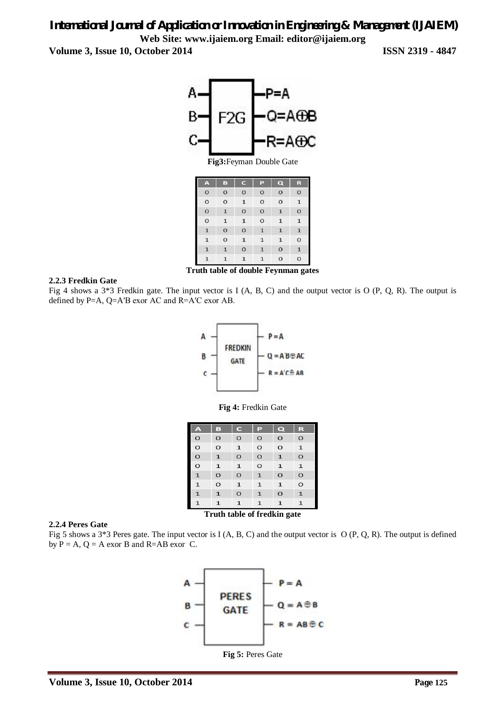# *International Journal of Application or Innovation in Engineering & Management (IJAIEM)* **Web Site: www.ijaiem.org Email: editor@ijaiem.org**

**Volume 3, Issue 10, October 2014 ISSN 2319 - 4847**



| A              | B              | C              | P              | $\overline{\mathbf{Q}}$ | R              |
|----------------|----------------|----------------|----------------|-------------------------|----------------|
| $\mathbf{O}$   | $\mathbf{O}$   | $\overline{O}$ | $\mathbf{O}$   | $\circ$                 | $\circ$        |
| $\circ$        | $\circ$        | $\mathbf{1}$   | $\overline{O}$ | $\circ$                 | $\mathbf{1}$   |
| $\circ$        | $\mathbf{1}$   | $\overline{O}$ | $\overline{O}$ | $\mathbf{1}$            | $\circ$        |
| $\circ$        | $\mathbf 1$    | $\mathbf{1}$   | $\overline{O}$ | $\mathbf{1}$            | $\mathbf{1}$   |
| $\mathbf{1}$   | $\overline{O}$ | $\overline{O}$ | $\mathbf{1}$   | $\mathbf{1}$            | $\mathbf{1}$   |
| $\mathbf{1}$   | $\overline{O}$ | $\mathbf{1}$   | $\mathbf{1}$   | $\mathbf{1}$            | $\circ$        |
| $\overline{1}$ | $\mathbf{1}$   | $\overline{O}$ | $\mathbf{1}$   | $\overline{O}$          | $\mathbf{1}$   |
| $\mathbf{1}$   | $\mathbf{1}$   | $\mathbf{1}$   | $\overline{1}$ | $\circ$                 | $\overline{O}$ |

**Truth table of double Feynman gates**

#### **2.2.3 Fredkin Gate**

Fig 4 shows a 3\*3 Fredkin gate. The input vector is I (A, B, C) and the output vector is O (P, Q, R). The output is defined by P=A, Q=A′B exor AC and R=A′C exor AB.



**Fig 4:** Fredkin Gate

| A            | в            | $\mathbf C$  | P            | $\mathbf \Omega$ | R            |
|--------------|--------------|--------------|--------------|------------------|--------------|
| $\circ$      | $\circ$      | $\circ$      | $\circ$      | $\circ$          | $\circ$      |
| $\circ$      | $\circ$      | $\mathbf{1}$ | $\circ$      | $\circ$          | $\mathbf{1}$ |
| $\circ$      | $\mathbf{1}$ | $\circ$      | $\circ$      | $\mathbf{1}$     | $\circ$      |
| $\circ$      | $\mathbf{1}$ | $\mathbf{1}$ | $\circ$      | $\mathbf{1}$     | $\mathbf{1}$ |
| $\mathbf{1}$ | $\circ$      | $\circ$      | $\mathbf{1}$ | $\circ$          | $\circ$      |
| $\mathbf{1}$ | $\circ$      | $\mathbf{1}$ | $\mathbf{1}$ | $\mathbf{1}$     | $\circ$      |
| $\mathbf{1}$ | $\mathbf{1}$ | $\circ$      | $\mathbf{1}$ | $\circ$          | $\mathbf{1}$ |
| $\mathbf{1}$ | $\mathbf{1}$ | $\mathbf{1}$ | $\mathbf{1}$ | $\mathbf{1}$     | $\mathbf{1}$ |

**Truth table of fredkin gate**

#### **2.2.4 Peres Gate**

Fig 5 shows a 3\*3 Peres gate. The input vector is I (A, B, C) and the output vector is O (P, Q, R). The output is defined by  $P = A$ ,  $Q = A$  exor B and R=AB exor C.



**Fig 5:** Peres Gate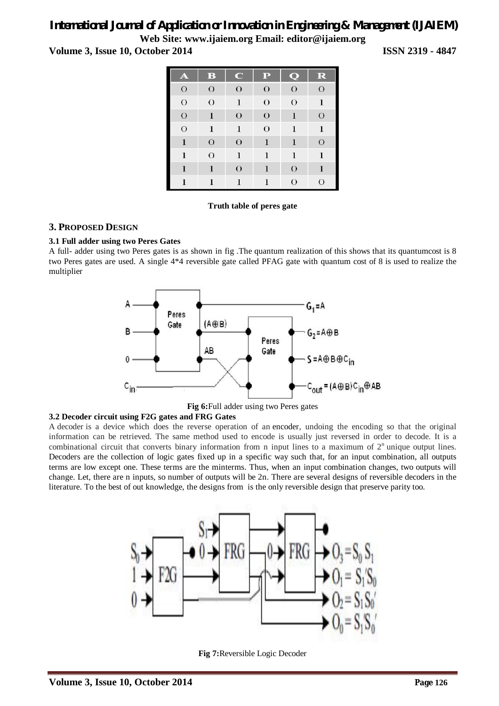# *International Journal of Application or Innovation in Engineering & Management (IJAIEM)*

**Web Site: www.ijaiem.org Email: editor@ijaiem.org**

**Volume 3, Issue 10, October 2014 ISSN 2319 - 4847**

| A              | $\bf{B}$       | $\mathbf C$    | $\mathbf P$    | $\overline{\mathbf{Q}}$ | $\mathbf R$    |
|----------------|----------------|----------------|----------------|-------------------------|----------------|
| $\overline{O}$ | $\overline{O}$ | $\overline{O}$ | $\overline{O}$ | $\overline{O}$          | $\overline{O}$ |
| $\overline{O}$ | $\overline{O}$ | $\mathbf{1}$   | $\overline{O}$ | $\overline{O}$          | $\mathbf{1}$   |
| $\overline{O}$ | $\mathbf{1}$   | $\overline{O}$ | $\overline{O}$ | $\mathbf{1}$            | $\overline{O}$ |
| $\overline{O}$ | $\mathbf{1}$   | $\mathbf{1}$   | $\overline{O}$ | $\mathbf{1}$            | $\mathbf{1}$   |
| $\mathbf{1}$   | $\overline{O}$ | $\mathbf O$    | $\mathbf{1}$   | $\bf{1}$                | $\mathbf{O}$   |
| $\mathbf{1}$   | $\overline{O}$ | $\mathbf{1}$   | $\mathbf{1}$   | $\mathbf{1}$            | $\mathbf{1}$   |
| $\bf{1}$       | $\bf{l}$       | $\overline{O}$ | $\mathbf{1}$   | $\overline{O}$          | $\mathbf{1}$   |
| $\mathbf{1}$   |                | $\bf{1}$       |                | $\overline{O}$          | $\Omega$       |

#### **Truth table of peres gate**

#### **3. PROPOSED DESIGN**

#### **3.1 Full adder using two Peres Gates**

A full- adder using two Peres gates is as shown in fig .The quantum realization of this shows that its quantumcost is 8 two Peres gates are used. A single 4\*4 reversible gate called PFAG gate with quantum cost of 8 is used to realize the multiplier



**Fig 6:**Full adder using two Peres gates

#### **3.2 Decoder circuit using F2G gates and FRG Gates**

A decoder is a device which does the reverse operation of an encoder, undoing the encoding so that the original information can be retrieved. The same method used to encode is usually just reversed in order to decode. It is a combinational circuit that converts binary information from n input lines to a maximum of  $2<sup>n</sup>$  unique output lines. Decoders are the collection of logic gates fixed up in a specific way such that, for an input combination, all outputs terms are low except one. These terms are the minterms. Thus, when an input combination changes, two outputs will change. Let, there are n inputs, so number of outputs will be 2n. There are several designs of reversible decoders in the literature. To the best of out knowledge, the designs from is the only reversible design that preserve parity too.



**Fig 7:**Reversible Logic Decoder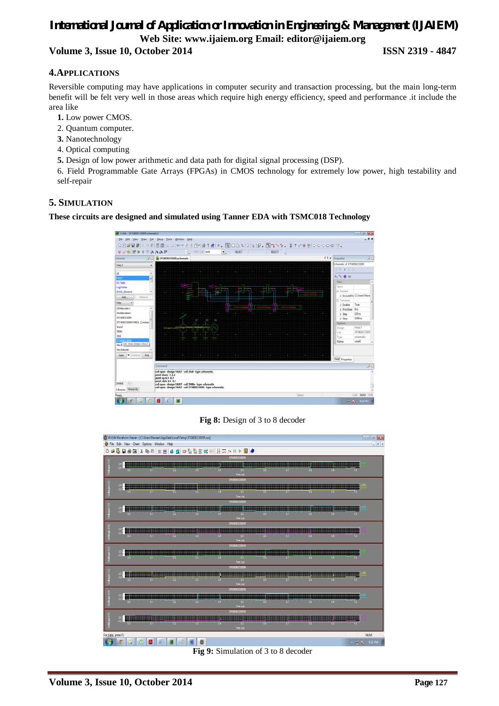# *International Journal of Application or Innovation in Engineering & Management (IJAIEM)* **Web Site: www.ijaiem.org Email: editor@ijaiem.org Volume 3, Issue 10, October 2014 ISSN 2319 - 4847**

### **4.APPLICATIONS**

Reversible computing may have applications in computer security and transaction processing, but the main long-term benefit will be felt very well in those areas which require high energy efficiency, speed and performance .it include the area like

- **1.** Low power CMOS.
- 2. Quantum computer.
- **3.** Nanotechnology
- 4. Optical computing
- **5.** Design of low power arithmetic and data path for digital signal processing (DSP).

6. Field Programmable Gate Arrays (FPGAs) in CMOS technology for extremely low power, high testability and self-repair

#### **5. SIMULATION**

**These circuits are designed and simulated using Tanner EDA with TSMC018 Technology**



#### **Fig 8:** Design of 3 to 8 decoder



**Fig 9:** Simulation of 3 to 8 decoder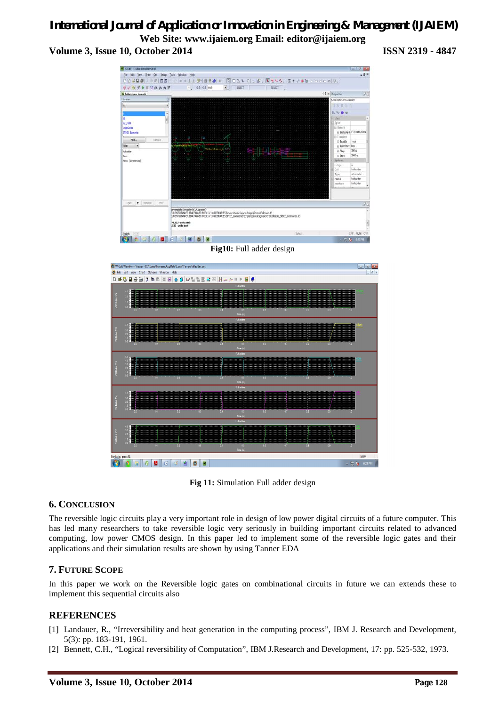# *International Journal of Application or Innovation in Engineering & Management (IJAIEM)* **Web Site: www.ijaiem.org Email: editor@ijaiem.org Volume 3, Issue 10, October 2014 ISSN 2319 - 4847**



**Fig10:** Full adder design



**Fig 11:** Simulation Full adder design

### **6. CONCLUSION**

The reversible logic circuits play a very important role in design of low power digital circuits of a future computer. This has led many researchers to take reversible logic very seriously in building important circuits related to advanced computing, low power CMOS design. In this paper led to implement some of the reversible logic gates and their applications and their simulation results are shown by using Tanner EDA

# **7. FUTURE SCOPE**

In this paper we work on the Reversible logic gates on combinational circuits in future we can extends these to implement this sequential circuits also

### **REFERENCES**

- [1] Landauer, R., "Irreversibility and heat generation in the computing process", IBM J. Research and Development, 5(3): pp. 183-191, 1961.
- [2] Bennett, C.H., "Logical reversibility of Computation", IBM J.Research and Development, 17: pp. 525-532, 1973.